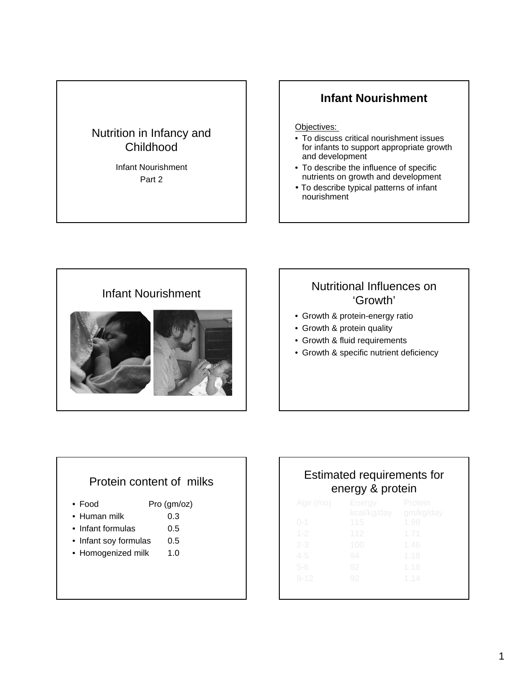## Nutrition in Infancy and Childhood

Infant Nourishment Part 2

#### **Infant Nourishment**

Objectives:

- To discuss critical nourishment issues for infants to support appropriate growth and development
- To describe the influence of specific nutrients on growth and development
- To describe typical patterns of infant nourishment



# 'Growth'

- Growth & protein-energy ratio
- Growth & protein quality
- Growth & fluid requirements
- Growth & specific nutrient deficiency

#### Protein content of milks

- Food Pro (gm/oz)
- Human milk 0.3
- Infant formulas 0.5
- Infant soy formulas 0.5
- Homogenized milk 1.0

# Estimated requirements for energy & protein

| Age (mo) | Energy      | Protein   |
|----------|-------------|-----------|
|          | kcal/kg/day | gm/kg/day |
| $0 - 1$  | 115         | 1.98      |
| $1 - 2$  | 112         | 1.71      |
| $2 - 3$  | 100         | 1.46      |
| $4 - 5$  | 94          | 1.18      |
| $5 - 6$  | 92          | 1.18      |
| $9 - 12$ | 92          | 1.14      |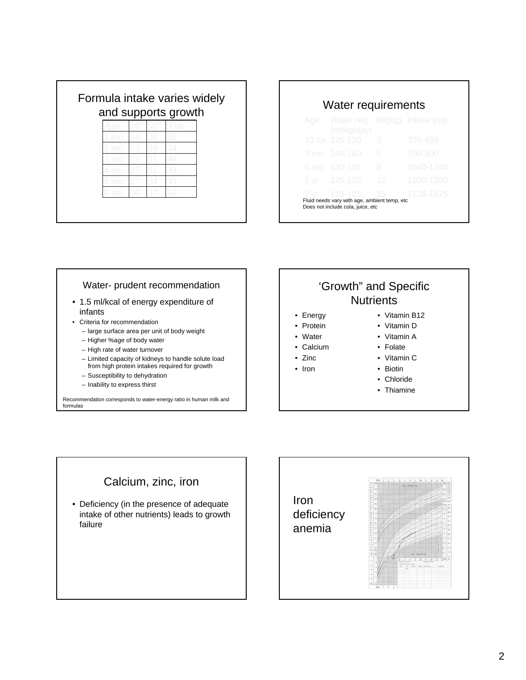| and supports growth |  |  |
|---------------------|--|--|
|                     |  |  |
|                     |  |  |
|                     |  |  |
|                     |  |  |
|                     |  |  |
|                     |  |  |
|                     |  |  |

| Age Water req Wt(kg) Intake (ml)<br>(mI/kg/day) |    |           |
|-------------------------------------------------|----|-----------|
| 10 da 125-150                                   | 3  | 375-450   |
| 3 mo 140-160                                    | 5  | 700-800   |
| 6 mo 130-155                                    | 8  | 1040-1240 |
| $1 \text{ yr}$ 125-135                          | 10 | 1200-1350 |
| $2 \text{ yr}$ 115-125 15                       |    | 1725-1875 |

#### Water- prudent recommendation • 1.5 ml/kcal of energy expenditure of

- infants
- Criteria for recommendation
	- large surface area per unit of body weight
	- Higher %age of body water
	- High rate of water turnover
	- Limited capacity of kidneys to handle solute load from high protein intakes required for growth
	- Susceptibility to dehydration
	- Inability to express thirst

Recommendation corresponds to water-energy ratio in human milk and formulas

# 'Growth" and Specific **Nutrients**

- Energy
- Protein
- Water
- Calcium
- Zinc
- Iron
	-
- Vitamin B12
- Vitamin D
- Vitamin A
- Folate
- Vitamin C
- Biotin
- Chloride
- Thiamine

#### Calcium, zinc, iron

• Deficiency (in the presence of adequate intake of other nutrients) leads to growth failure

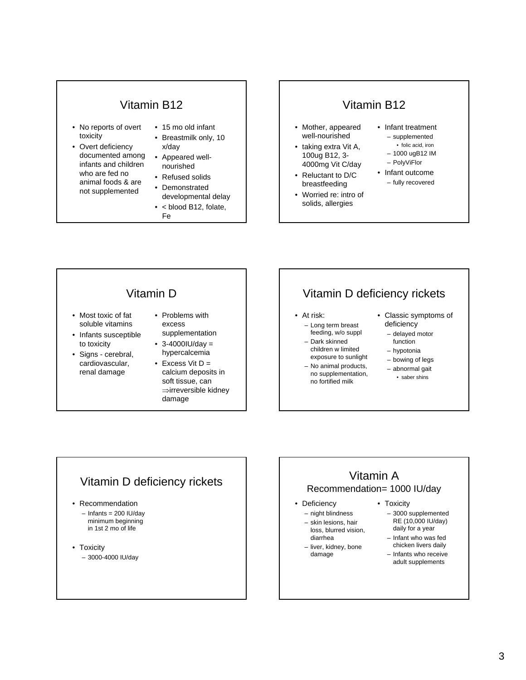#### Vitamin B12

- No reports of overt toxicity
- Overt deficiency documented among infants and children who are fed no animal foods & are not supplemented
- 15 mo old infant
- Breastmilk only, 10 x/day
- Appeared wellnourished
- Refused solids
- Demonstrated developmental delay
- < blood B12, folate, Fe

#### Vitamin B12

- Mother, appeared well-nourished
- taking extra Vit A, 100ug B12, 3- 4000mg Vit C/day
- Reluctant to D/C breastfeeding
- Worried re: intro of solids, allergies
- Infant treatment – supplemented
	- folic acid, iron
	- 1000 ugB12 IM – PolyViFlor
- Infant outcome
	- fully recovered

#### Vitamin D

- Most toxic of fat soluble vitamins
- Infants susceptible to toxicity
- Signs cerebral, cardiovascular, renal damage
- Problems with excess supplementation
- $3 4000$ IU/day = hypercalcemia
- Excess Vit  $D =$ calcium deposits in soft tissue, can ⇒irreversible kidney damage

# Vitamin D deficiency rickets

- At risk:
	- Long term breast feeding, w/o suppl
- Dark skinned children w limited exposure to sunlight
- No animal products,
- no supplementation, no fortified milk
- Classic symptoms of deficiency
	- delayed motor
	- function – hypotonia
	- bowing of legs
	- abnormal gait
	- saber shins

#### Vitamin D deficiency rickets

- Recommendation  $-$  Infants = 200 IU/day
	- minimum beginning in 1st 2 mo of life
- Toxicity – 3000-4000 IU/day

# Vitamin A Recommendation= 1000 IU/day

- Deficiency
	- night blindness – skin lesions, hair loss, blurred vision,
	- diarrhea – liver, kidney, bone
		- damage
- Toxicity
	- 3000 supplemented RE (10,000 IU/day) daily for a year
	- Infant who was fed chicken livers daily
	- Infants who receive adult supplements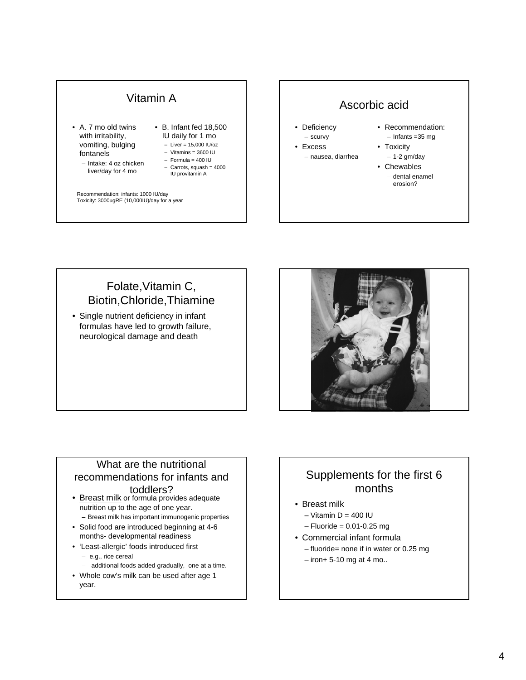# Vitamin A

- A. 7 mo old twins with irritability, vomiting, bulging fontanels
	- Intake: 4 oz chicken liver/day for 4 mo
- B. Infant fed 18,500 IU daily for 1 mo  $-$  Liver = 15,000 IU/oz
	- $-$  Vitamins = 3600 IU
	- Formula = 400 IU
	- $-$  Carrots, squash = 4000 IU provitamin A

Recommendation: infants: 1000 IU/day Toxicity: 3000ugRE (10,000IU)/day for a year

## Ascorbic acid

- **Deficiency** – scurvy
- Excess
	- nausea, diarrhea
- Recommendation: – Infants =35 mg
- Toxicity
	- 1-2 gm/day
- Chewables – dental enamel erosion?

## Folate,Vitamin C, Biotin,Chloride,Thiamine

• Single nutrient deficiency in infant formulas have led to growth failure, neurological damage and death



# What are the nutritional recommendations for infants and

#### toddlers?

- Breast milk or formula provides adequate nutrition up to the age of one year.
	- Breast milk has important immunogenic properties
- Solid food are introduced beginning at 4-6 months- developmental readiness
- 'Least-allergic' foods introduced first
	- e.g., rice cereal
	- additional foods added gradually, one at a time.
- Whole cow's milk can be used after age 1 year.

# Supplements for the first 6 months

- Breast milk
	- $-$  Vitamin D = 400 IU
	- $-$  Fluoride = 0.01-0.25 mg
- Commercial infant formula
	- fluoride= none if in water or 0.25 mg
	- $-$  iron+ 5-10 mg at 4 mo..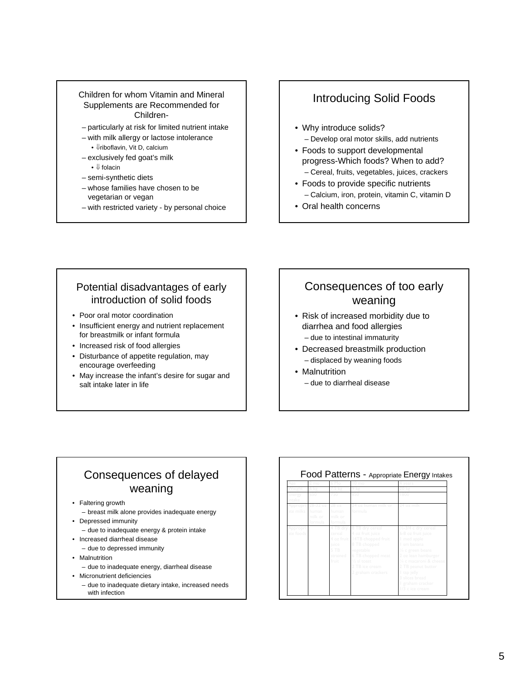#### Children for whom Vitamin and Mineral Supplements are Recommended for Children-

- particularly at risk for limited nutrient intake
- with milk allergy or lactose intolerance
	- ⇓riboflavin, Vit D, calcium
- exclusively fed goat's milk • ⇓ folacin
- semi-synthetic diets
- whose families have chosen to be vegetarian or vegan
- with restricted variety by personal choice

# Introducing Solid Foods

- Why introduce solids? – Develop oral motor skills, add nutrients
- Foods to support developmental progress-Which foods? When to add? – Cereal, fruits, vegetables, juices, crackers
- Foods to provide specific nutrients – Calcium, iron, protein, vitamin C, vitamin D
- Oral health concerns

#### Potential disadvantages of early introduction of solid foods

- Poor oral motor coordination
- Insufficient energy and nutrient replacement for breastmilk or infant formula
- Increased risk of food allergies
- Disturbance of appetite regulation, may encourage overfeeding
- May increase the infant's desire for sugar and salt intake later in life

# Consequences of too early weaning

- Risk of increased morbidity due to diarrhea and food allergies – due to intestinal immaturity
- Decreased breastmilk production – displaced by weaning foods
- Malnutrition – due to diarrheal disease

# Consequences of delayed weaning

- Faltering growth
	- breast milk alone provides inadequate energy
- Depressed immunity
- due to inadequate energy & protein intake
- Increased diarrheal disease
	- due to depressed immunity
- Malnutrition
	- due to inadequate energy, diarrheal disease
- Micronutrient deficiencies
	- due to inadequate dietary intake, increased needs with infection

|                       | 2 mo                                          |                                                                  | $10$ mo                                                                                                                                                                                     | years                                                                                                                                                                                                                                                |
|-----------------------|-----------------------------------------------|------------------------------------------------------------------|---------------------------------------------------------------------------------------------------------------------------------------------------------------------------------------------|------------------------------------------------------------------------------------------------------------------------------------------------------------------------------------------------------------------------------------------------------|
|                       |                                               |                                                                  |                                                                                                                                                                                             |                                                                                                                                                                                                                                                      |
| Energy<br>intake      | 650                                           |                                                                  |                                                                                                                                                                                             | 800                                                                                                                                                                                                                                                  |
| Appropri<br>ate milks | $28 - 32$ $oz$<br>human<br>milk or<br>formula | 28 <sub>oz</sub><br>human<br>milk or<br>formula                  | 24 oz human milk or<br>formula                                                                                                                                                              | 24 oz milk                                                                                                                                                                                                                                           |
| Appropri<br>ate foods |                                               | 4 TB dry<br>cereal<br><i>iuice</i><br>5 TB<br>strained<br>fruit. | 8 TB dry cereal<br>4 oz fruit juice<br>4 oz fruit   I4TB chopped fruit<br>8 TB chopped<br>vegetable<br>6 TB chopped meat<br>1/ <sub>2</sub> sl toast<br>2 TB ice cream<br>2 graham crackers | $\frac{1}{2}$ -3/4 c dry cereal<br>6-8 oz fruit juice<br>I med apple<br>sm banana<br>1/4 c green beans<br>2 oz lean hamburger<br>1/4 c macaroni & cheese<br>2 TB peanut butter<br>I tsp jelly<br>3 slices bread<br>graham cracker<br>1/3 c ice cream |